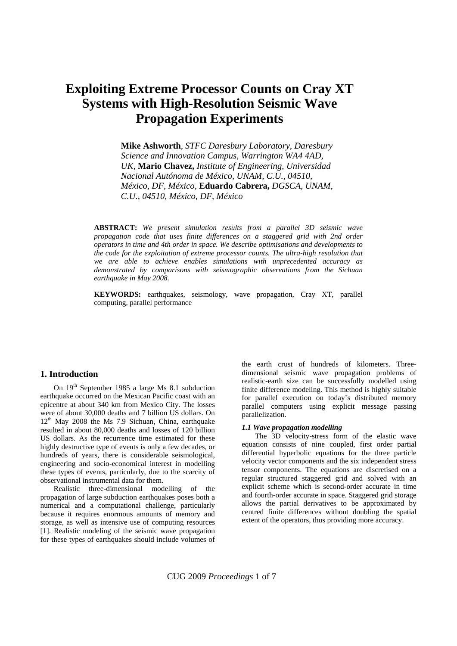# **Exploiting Extreme Processor Counts on Cray XT Systems with High-Resolution Seismic Wave Propagation Experiments**

**Mike Ashworth***, STFC Daresbury Laboratory, Daresbury Science and Innovation Campus, Warrington WA4 4AD, UK,* **Mario Chavez,** *Institute of Engineering, Universidad Nacional Autónoma de México, UNAM, C.U., 04510, México, DF, México,* **Eduardo Cabrera,** *DGSCA, UNAM, C.U., 04510, México, DF, México* 

**ABSTRACT:** *We present simulation results from a parallel 3D seismic wave propagation code that uses finite differences on a staggered grid with 2nd order operators in time and 4th order in space. We describe optimisations and developments to the code for the exploitation of extreme processor counts. The ultra-high resolution that we are able to achieve enables simulations with unprecedented accuracy as demonstrated by comparisons with seismographic observations from the Sichuan earthquake in May 2008.* 

**KEYWORDS:** earthquakes, seismology, wave propagation, Cray XT, parallel computing, parallel performance

# **1. Introduction**

On  $19<sup>th</sup>$  September 1985 a large Ms 8.1 subduction earthquake occurred on the Mexican Pacific coast with an epicentre at about 340 km from Mexico City. The losses were of about 30,000 deaths and 7 billion US dollars. On  $12<sup>th</sup>$  May 2008 the Ms 7.9 Sichuan, China, earthquake resulted in about 80,000 deaths and losses of 120 billion US dollars. As the recurrence time estimated for these highly destructive type of events is only a few decades, or hundreds of years, there is considerable seismological, engineering and socio-economical interest in modelling these types of events, particularly, due to the scarcity of observational instrumental data for them.

Realistic three-dimensional modelling of the propagation of large subduction earthquakes poses both a numerical and a computational challenge, particularly because it requires enormous amounts of memory and storage, as well as intensive use of computing resources [1]. Realistic modeling of the seismic wave propagation for these types of earthquakes should include volumes of

the earth crust of hundreds of kilometers. Threedimensional seismic wave propagation problems of realistic-earth size can be successfully modelled using finite difference modeling. This method is highly suitable for parallel execution on today's distributed memory parallel computers using explicit message passing parallelization.

#### *1.1 Wave propagation modelling*

The 3D velocity-stress form of the elastic wave equation consists of nine coupled, first order partial differential hyperbolic equations for the three particle velocity vector components and the six independent stress tensor components. The equations are discretised on a regular structured staggered grid and solved with an explicit scheme which is second-order accurate in time and fourth-order accurate in space. Staggered grid storage allows the partial derivatives to be approximated by centred finite differences without doubling the spatial extent of the operators, thus providing more accuracy.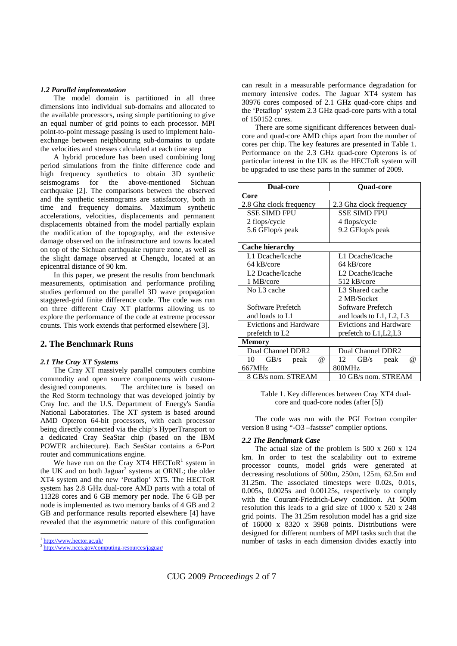## *1.2 Parallel implementation*

The model domain is partitioned in all three dimensions into individual sub-domains and allocated to the available processors, using simple partitioning to give an equal number of grid points to each processor. MPI point-to-point message passing is used to implement haloexchange between neighbouring sub-domains to update the velocities and stresses calculated at each time step

A hybrid procedure has been used combining long period simulations from the finite difference code and high frequency synthetics to obtain 3D synthetic seismograms for the above-mentioned Sichuan earthquake [2]. The comparisons between the observed and the synthetic seismograms are satisfactory, both in time and frequency domains. Maximum synthetic accelerations, velocities, displacements and permanent displacements obtained from the model partially explain the modification of the topography, and the extensive damage observed on the infrastructure and towns located on top of the Sichuan earthquake rupture zone, as well as the slight damage observed at Chengdu, located at an epicentral distance of 90 km.

In this paper, we present the results from benchmark measurements, optimisation and performance profiling studies performed on the parallel 3D wave propagation staggered-grid finite difference code. The code was run on three different Cray XT platforms allowing us to explore the performance of the code at extreme processor counts. This work extends that performed elsewhere [3].

# **2. The Benchmark Runs**

## *2.1 The Cray XT Systems*

The Cray XT massively parallel computers combine commodity and open source components with customdesigned components. The architecture is based on the Red Storm technology that was developed jointly by Cray Inc. and the U.S. Department of Energy's Sandia National Laboratories. The XT system is based around AMD Opteron 64-bit processors, with each processor being directly connected via the chip's HyperTransport to a dedicated Cray SeaStar chip (based on the IBM POWER architecture). Each SeaStar contains a 6-Port router and communications engine.

We have run on the Cray XT4 HECTo $R^1$  system in the UK and on both Jaguar<sup>2</sup> systems at ORNL; the older XT4 system and the new 'Petaflop' XT5. The HECToR system has 2.8 GHz dual-core AMD parts with a total of 11328 cores and 6 GB memory per node. The 6 GB per node is implemented as two memory banks of 4 GB and 2 GB and performance results reported elsewhere [4] have revealed that the asymmetric nature of this configuration

<sup>1</sup> http://www.hector.ac.uk/

-

can result in a measurable performance degradation for memory intensive codes. The Jaguar XT4 system has 30976 cores composed of 2.1 GHz quad-core chips and the 'Petaflop' system 2.3 GHz quad-core parts with a total of 150152 cores.

There are some significant differences between dualcore and quad-core AMD chips apart from the number of cores per chip. The key features are presented in Table 1. Performance on the 2.3 GHz quad-core Opterons is of particular interest in the UK as the HECToR system will be upgraded to use these parts in the summer of 2009.

| <b>Dual-core</b>                          | <b>Quad-core</b>               |
|-------------------------------------------|--------------------------------|
| Core                                      |                                |
| 2.8 Ghz clock frequency                   | 2.3 Ghz clock frequency        |
| <b>SSE SIMD FPU</b>                       | <b>SSE SIMD FPU</b>            |
| 2 flops/cycle                             | 4 flops/cycle                  |
| 5.6 GFlop/s peak                          | 9.2 GFlop/s peak               |
|                                           |                                |
| <b>Cache hierarchy</b>                    |                                |
| L1 Dcache/Icache                          | L1 Dcache/Icache               |
| 64 kB/core                                | 64 kB/core                     |
| L2 Dcache/Icache                          | L <sub>2</sub> Dcache/Icache   |
| 1 MB/core                                 | 512 kB/core                    |
| No L <sub>3</sub> cache                   | L <sub>3</sub> Shared cache    |
|                                           | 2 MB/Socket                    |
| Software Prefetch                         | Software Prefetch              |
| and loads to L1                           | and loads to L1, L2, L3        |
| <b>Evictions and Hardware</b>             | <b>Evictions and Hardware</b>  |
| prefetch to L2                            | prefetch to L1, L2, L3         |
| <b>Memory</b>                             |                                |
| Dual Channel DDR2                         | Dual Channel DDR2              |
| $\mathrm{GB/s}$<br>10<br>peak<br>$\omega$ | 12<br>GB/s<br>peak<br>$\omega$ |
| 667MHz                                    | 800MHz                         |
| 8 GB/s nom. STREAM                        | 10 GB/s nom. STREAM            |

Table 1. Key differences between Cray XT4 dualcore and quad-core nodes (after [5])

The code was run with the PGI Fortran compiler version 8 using "-O3 –fastsse" compiler options.

#### *2.2 The Benchmark Case*

The actual size of the problem is 500 x 260 x 124 km. In order to test the scalability out to extreme processor counts, model grids were generated at decreasing resolutions of 500m, 250m, 125m, 62.5m and 31.25m. The associated timesteps were 0.02s, 0.01s, 0.005s, 0.0025s and 0.00125s, respectively to comply with the Courant-Friedrich-Lewy condition. At 500m resolution this leads to a grid size of 1000 x 520 x 248 grid points. The 31.25m resolution model has a grid size of 16000 x 8320 x 3968 points. Distributions were designed for different numbers of MPI tasks such that the number of tasks in each dimension divides exactly into

http://www.nccs.gov/computing-resources/jaguar/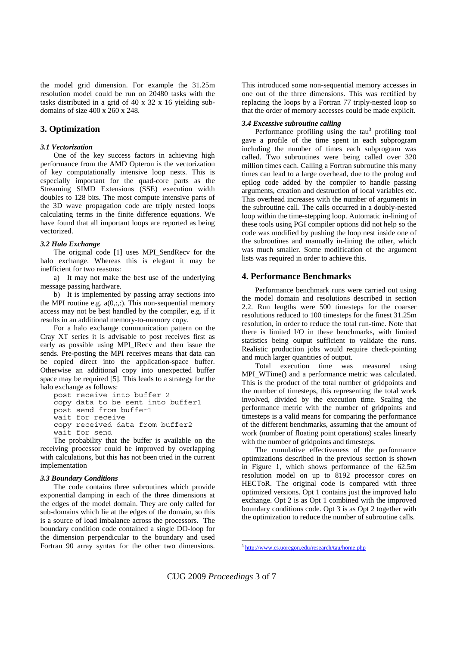the model grid dimension. For example the 31.25m resolution model could be run on 20480 tasks with the tasks distributed in a grid of 40 x 32 x 16 yielding subdomains of size 400 x 260 x 248.

# **3. Optimization**

## *3.1 Vectorization*

One of the key success factors in achieving high performance from the AMD Opteron is the vectorization of key computationally intensive loop nests. This is especially important for the quad-core parts as the Streaming SIMD Extensions (SSE) execution width doubles to 128 bits. The most compute intensive parts of the 3D wave propagation code are triply nested loops calculating terms in the finite difference equations. We have found that all important loops are reported as being vectorized.

#### *3.2 Halo Exchange*

The original code [1] uses MPI\_SendRecv for the halo exchange. Whereas this is elegant it may be inefficient for two reasons:

a) It may not make the best use of the underlying message passing hardware.

b) It is implemented by passing array sections into the MPI routine e.g.  $a(0, ...)$ . This non-sequential memory access may not be best handled by the compiler, e.g. if it results in an additional memory-to-memory copy.

For a halo exchange communication pattern on the Cray XT series it is advisable to post receives first as early as possible using MPI\_IRecv and then issue the sends. Pre-posting the MPI receives means that data can be copied direct into the application-space buffer. Otherwise an additional copy into unexpected buffer space may be required [5]. This leads to a strategy for the halo exchange as follows:

post receive into buffer 2 copy data to be sent into buffer1 post send from buffer1 wait for receive copy received data from buffer2 wait for send

The probability that the buffer is available on the receiving processor could be improved by overlapping with calculations, but this has not been tried in the current implementation

## *3.3 Boundary Conditions*

The code contains three subroutines which provide exponential damping in each of the three dimensions at the edges of the model domain. They are only called for sub-domains which lie at the edges of the domain, so this is a source of load imbalance across the processors. The boundary condition code contained a single DO-loop for the dimension perpendicular to the boundary and used Fortran 90 array syntax for the other two dimensions.

This introduced some non-sequential memory accesses in one out of the three dimensions. This was rectified by replacing the loops by a Fortran 77 triply-nested loop so that the order of memory accesses could be made explicit.

## *3.4 Excessive subroutine calling*

Performance profiling using the  $tau^3$  profiling tool gave a profile of the time spent in each subprogram including the number of times each subprogram was called. Two subroutines were being called over 320 million times each. Calling a Fortran subroutine this many times can lead to a large overhead, due to the prolog and epilog code added by the compiler to handle passing arguments, creation and destruction of local variables etc. This overhead increases with the number of arguments in the subroutine call. The calls occurred in a doubly-nested loop within the time-stepping loop. Automatic in-lining of these tools using PGI compiler options did not help so the code was modified by pushing the loop nest inside one of the subroutines and manually in-lining the other, which was much smaller. Some modification of the argument lists was required in order to achieve this.

## **4. Performance Benchmarks**

Performance benchmark runs were carried out using the model domain and resolutions described in section 2.2. Run lengths were 500 timesteps for the coarser resolutions reduced to 100 timesteps for the finest 31.25m resolution, in order to reduce the total run-time. Note that there is limited I/O in these benchmarks, with limited statistics being output sufficient to validate the runs. Realistic production jobs would require check-pointing and much larger quantities of output.

Total execution time was measured using MPI\_WTime() and a performance metric was calculated. This is the product of the total number of gridpoints and the number of timesteps, this representing the total work involved, divided by the execution time. Scaling the performance metric with the number of gridpoints and timesteps is a valid means for comparing the performance of the different benchmarks, assuming that the amount of work (number of floating point operations) scales linearly with the number of gridpoints and timesteps.

The cumulative effectiveness of the performance optimizations described in the previous section is shown in Figure 1, which shows performance of the 62.5m resolution model on up to 8192 processor cores on HECToR. The original code is compared with three optimized versions. Opt 1 contains just the improved halo exchange. Opt 2 is as Opt 1 combined with the improved boundary conditions code. Opt 3 is as Opt 2 together with the optimization to reduce the number of subroutine calls.

CUG 2009 *Proceedings* 3 of 7

<sup>-</sup>

<sup>3</sup> http://www.cs.uoregon.edu/research/tau/home.php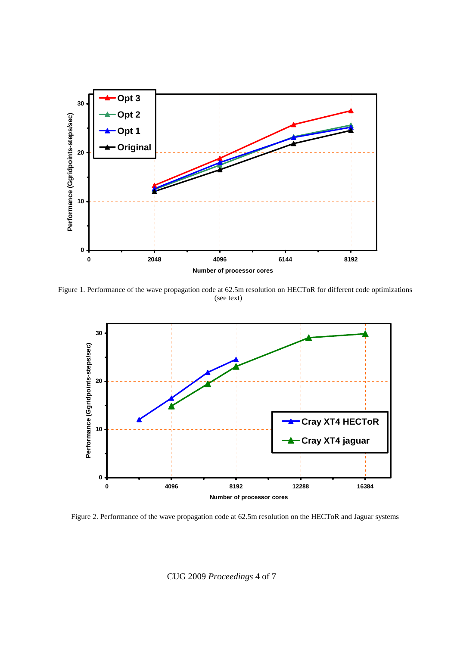

Figure 1. Performance of the wave propagation code at 62.5m resolution on HECToR for different code optimizations (see text)



Figure 2. Performance of the wave propagation code at 62.5m resolution on the HECToR and Jaguar systems

CUG 2009 *Proceedings* 4 of 7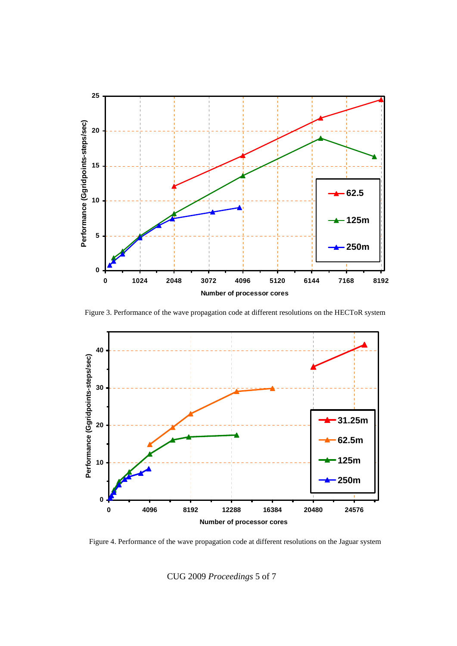

Figure 3. Performance of the wave propagation code at different resolutions on the HECToR system



Figure 4. Performance of the wave propagation code at different resolutions on the Jaguar system

CUG 2009 *Proceedings* 5 of 7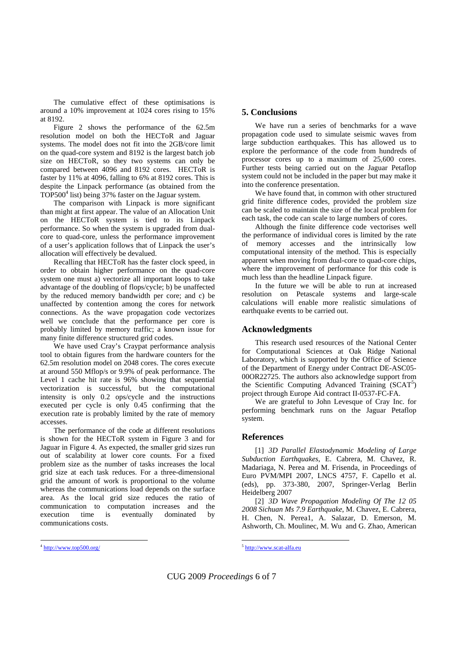The cumulative effect of these optimisations is around a 10% improvement at 1024 cores rising to 15% at 8192.

Figure 2 shows the performance of the 62.5m resolution model on both the HECToR and Jaguar systems. The model does not fit into the 2GB/core limit on the quad-core system and 8192 is the largest batch job size on HECToR, so they two systems can only be compared between 4096 and 8192 cores. HECToR is faster by 11% at 4096, falling to 6% at 8192 cores. This is despite the Linpack performance (as obtained from the  $TOP500<sup>4</sup>$  list) being  $37%$  faster on the Jaguar system.

The comparison with Linpack is more significant than might at first appear. The value of an Allocation Unit on the HECToR system is tied to its Linpack performance. So when the system is upgraded from dualcore to quad-core, unless the performance improvement of a user's application follows that of Linpack the user's allocation will effectively be devalued.

Recalling that HECToR has the faster clock speed, in order to obtain higher performance on the quad-core system one must a) vectorize all important loops to take advantage of the doubling of flops/cycle; b) be unaffected by the reduced memory bandwidth per core; and c) be unaffected by contention among the cores for network connections. As the wave propagation code vectorizes well we conclude that the performance per core is probably limited by memory traffic; a known issue for many finite difference structured grid codes.

We have used Cray's Craypat performance analysis tool to obtain figures from the hardware counters for the 62.5m resolution model on 2048 cores. The cores execute at around 550 Mflop/s or 9.9% of peak performance. The Level 1 cache hit rate is 96% showing that sequential vectorization is successful, but the computational intensity is only 0.2 ops/cycle and the instructions executed per cycle is only 0.45 confirming that the execution rate is probably limited by the rate of memory accesses.

The performance of the code at different resolutions is shown for the HECToR system in Figure 3 and for Jaguar in Figure 4. As expected, the smaller grid sizes run out of scalability at lower core counts. For a fixed problem size as the number of tasks increases the local grid size at each task reduces. For a three-dimensional grid the amount of work is proportional to the volume whereas the communications load depends on the surface area. As the local grid size reduces the ratio of communication to computation increases and the execution time is eventually dominated by communications costs.

# **5. Conclusions**

We have run a series of benchmarks for a wave propagation code used to simulate seismic waves from large subduction earthquakes. This has allowed us to explore the performance of the code from hundreds of processor cores up to a maximum of 25,600 cores. Further tests being carried out on the Jaguar Petaflop system could not be included in the paper but may make it into the conference presentation.

We have found that, in common with other structured grid finite difference codes, provided the problem size can be scaled to maintain the size of the local problem for each task, the code can scale to large numbers of cores.

Although the finite difference code vectorises well the performance of individual cores is limited by the rate of memory accesses and the intrinsically low computational intensity of the method. This is especially apparent when moving from dual-core to quad-core chips, where the improvement of performance for this code is much less than the headline Linpack figure.

In the future we will be able to run at increased resolution on Petascale systems and large-scale calculations will enable more realistic simulations of earthquake events to be carried out.

# **Acknowledgments**

This research used resources of the National Center for Computational Sciences at Oak Ridge National Laboratory, which is supported by the Office of Science of the Department of Energy under Contract DE-ASC05- 00OR22725. The authors also acknowledge support from the Scientific Computing Advanced Training (SCAT<sup>5</sup>) project through Europe Aid contract II-0537-FC-FA.

We are grateful to John Levesque of Cray Inc. for performing benchmark runs on the Jaguar Petaflop system.

# **References**

[1] *3D Parallel Elastodynamic Modeling of Large Subduction Earthquakes*, E. Cabrera, M. Chavez, R. Madariaga, N. Perea and M. Frisenda, in Proceedings of Euro PVM/MPI 2007, LNCS 4757, F. Capello et al. (eds), pp. 373-380, 2007, Springer-Verlag Berlin Heidelberg 2007

[2] *3D Wave Propagation Modeling Of The 12 05 2008 Sichuan Ms 7.9 Earthquake*, M. Chavez, E. Cabrera, H. Chen, N. Perea1, A. Salazar, D. Emerson, M. Ashworth, Ch. Moulinec, M. Wu and G. Zhao, American

-

 $4 \frac{\text{http://www.top500.org/}}{}$ 

<sup>&</sup>lt;sup>-</sup> <sup>5</sup> http://www.scat-alfa.eu